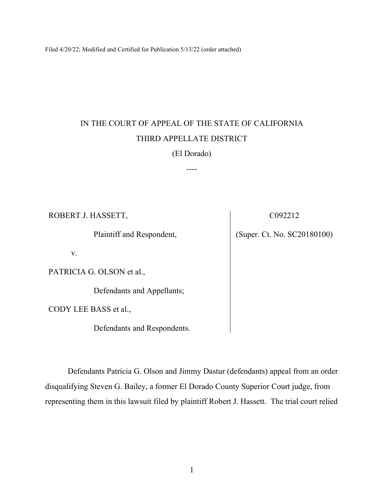Filed 4/20/22; Modified and Certified for Publication 5/13/22 (order attached)

# IN THE COURT OF APPEAL OF THE STATE OF CALIFORNIA THIRD APPELLATE DISTRICT

## (El Dorado)

----

ROBERT J. HASSETT,

Plaintiff and Respondent,

v.

PATRICIA G. OLSON et al.,

Defendants and Appellants;

CODY LEE BASS et al.,

Defendants and Respondents.

Defendants Patricia G. Olson and Jimmy Dastur (defendants) appeal from an order disqualifying Steven G. Bailey, a former El Dorado County Superior Court judge, from representing them in this lawsuit filed by plaintiff Robert J. Hassett. The trial court relied

C092212

(Super. Ct. No. SC20180100)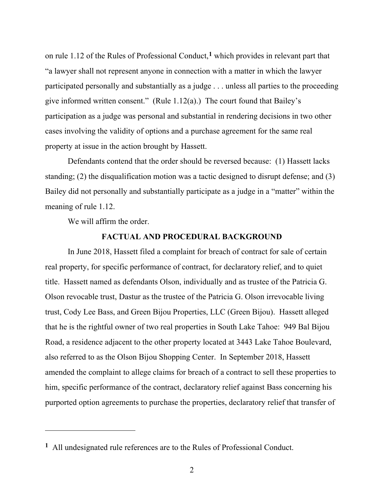on rule 1.12 of the Rules of Professional Conduct,**[1](#page-1-0)** which provides in relevant part that "a lawyer shall not represent anyone in connection with a matter in which the lawyer participated personally and substantially as a judge . . . unless all parties to the proceeding give informed written consent." (Rule 1.12(a).) The court found that Bailey's participation as a judge was personal and substantial in rendering decisions in two other cases involving the validity of options and a purchase agreement for the same real property at issue in the action brought by Hassett.

Defendants contend that the order should be reversed because: (1) Hassett lacks standing; (2) the disqualification motion was a tactic designed to disrupt defense; and (3) Bailey did not personally and substantially participate as a judge in a "matter" within the meaning of rule 1.12.

We will affirm the order.

#### **FACTUAL AND PROCEDURAL BACKGROUND**

In June 2018, Hassett filed a complaint for breach of contract for sale of certain real property, for specific performance of contract, for declaratory relief, and to quiet title. Hassett named as defendants Olson, individually and as trustee of the Patricia G. Olson revocable trust, Dastur as the trustee of the Patricia G. Olson irrevocable living trust, Cody Lee Bass, and Green Bijou Properties, LLC (Green Bijou). Hassett alleged that he is the rightful owner of two real properties in South Lake Tahoe: 949 Bal Bijou Road, a residence adjacent to the other property located at 3443 Lake Tahoe Boulevard, also referred to as the Olson Bijou Shopping Center. In September 2018, Hassett amended the complaint to allege claims for breach of a contract to sell these properties to him, specific performance of the contract, declaratory relief against Bass concerning his purported option agreements to purchase the properties, declaratory relief that transfer of

<span id="page-1-0"></span>**<sup>1</sup>** All undesignated rule references are to the Rules of Professional Conduct.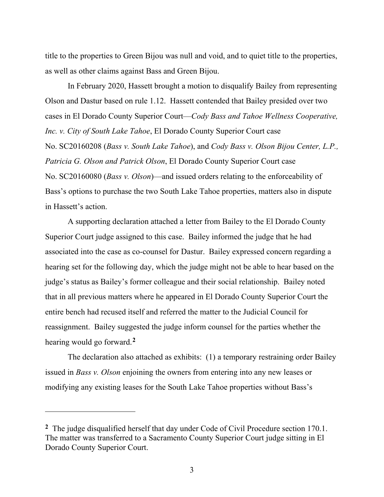title to the properties to Green Bijou was null and void, and to quiet title to the properties, as well as other claims against Bass and Green Bijou.

In February 2020, Hassett brought a motion to disqualify Bailey from representing Olson and Dastur based on rule 1.12. Hassett contended that Bailey presided over two cases in El Dorado County Superior Court—*Cody Bass and Tahoe Wellness Cooperative, Inc. v. City of South Lake Tahoe*, El Dorado County Superior Court case No. SC20160208 (*Bass v. South Lake Tahoe*), and *Cody Bass v. Olson Bijou Center, L.P., Patricia G. Olson and Patrick Olson*, El Dorado County Superior Court case No. SC20160080 (*Bass v. Olson*)—and issued orders relating to the enforceability of Bass's options to purchase the two South Lake Tahoe properties, matters also in dispute in Hassett's action.

A supporting declaration attached a letter from Bailey to the El Dorado County Superior Court judge assigned to this case. Bailey informed the judge that he had associated into the case as co-counsel for Dastur. Bailey expressed concern regarding a hearing set for the following day, which the judge might not be able to hear based on the judge's status as Bailey's former colleague and their social relationship. Bailey noted that in all previous matters where he appeared in El Dorado County Superior Court the entire bench had recused itself and referred the matter to the Judicial Council for reassignment. Bailey suggested the judge inform counsel for the parties whether the hearing would go forward.**[2](#page-2-0)**

The declaration also attached as exhibits: (1) a temporary restraining order Bailey issued in *Bass v. Olson* enjoining the owners from entering into any new leases or modifying any existing leases for the South Lake Tahoe properties without Bass's

<span id="page-2-0"></span>**<sup>2</sup>** The judge disqualified herself that day under Code of Civil Procedure section 170.1. The matter was transferred to a Sacramento County Superior Court judge sitting in El Dorado County Superior Court.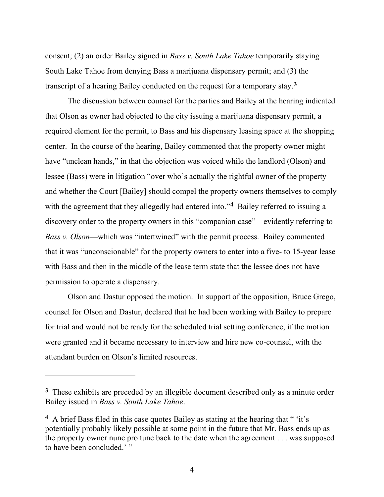consent; (2) an order Bailey signed in *Bass v. South Lake Tahoe* temporarily staying South Lake Tahoe from denying Bass a marijuana dispensary permit; and (3) the transcript of a hearing Bailey conducted on the request for a temporary stay. **[3](#page-3-0)**

The discussion between counsel for the parties and Bailey at the hearing indicated that Olson as owner had objected to the city issuing a marijuana dispensary permit, a required element for the permit, to Bass and his dispensary leasing space at the shopping center. In the course of the hearing, Bailey commented that the property owner might have "unclean hands," in that the objection was voiced while the landlord (Olson) and lessee (Bass) were in litigation "over who's actually the rightful owner of the property and whether the Court [Bailey] should compel the property owners themselves to comply with the agreement that they allegedly had entered into."<sup>[4](#page-3-1)</sup> Bailey referred to issuing a discovery order to the property owners in this "companion case"—evidently referring to *Bass v. Olson*—which was "intertwined" with the permit process. Bailey commented that it was "unconscionable" for the property owners to enter into a five- to 15-year lease with Bass and then in the middle of the lease term state that the lessee does not have permission to operate a dispensary.

Olson and Dastur opposed the motion. In support of the opposition, Bruce Grego, counsel for Olson and Dastur, declared that he had been working with Bailey to prepare for trial and would not be ready for the scheduled trial setting conference, if the motion were granted and it became necessary to interview and hire new co-counsel, with the attendant burden on Olson's limited resources.

<span id="page-3-0"></span>**<sup>3</sup>** These exhibits are preceded by an illegible document described only as a minute order Bailey issued in *Bass v. South Lake Tahoe*.

<span id="page-3-1"></span>**<sup>4</sup>** A brief Bass filed in this case quotes Bailey as stating at the hearing that " 'it's potentially probably likely possible at some point in the future that Mr. Bass ends up as the property owner nunc pro tunc back to the date when the agreement . . . was supposed to have been concluded.'"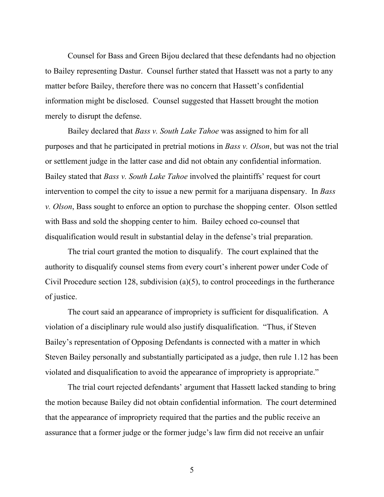Counsel for Bass and Green Bijou declared that these defendants had no objection to Bailey representing Dastur. Counsel further stated that Hassett was not a party to any matter before Bailey, therefore there was no concern that Hassett's confidential information might be disclosed. Counsel suggested that Hassett brought the motion merely to disrupt the defense.

Bailey declared that *Bass v. South Lake Tahoe* was assigned to him for all purposes and that he participated in pretrial motions in *Bass v. Olson*, but was not the trial or settlement judge in the latter case and did not obtain any confidential information. Bailey stated that *Bass v. South Lake Tahoe* involved the plaintiffs' request for court intervention to compel the city to issue a new permit for a marijuana dispensary. In *Bass v. Olson*, Bass sought to enforce an option to purchase the shopping center. Olson settled with Bass and sold the shopping center to him. Bailey echoed co-counsel that disqualification would result in substantial delay in the defense's trial preparation.

The trial court granted the motion to disqualify. The court explained that the authority to disqualify counsel stems from every court's inherent power under Code of Civil Procedure section 128, subdivision (a)(5), to control proceedings in the furtherance of justice.

The court said an appearance of impropriety is sufficient for disqualification. A violation of a disciplinary rule would also justify disqualification. "Thus, if Steven Bailey's representation of Opposing Defendants is connected with a matter in which Steven Bailey personally and substantially participated as a judge, then rule 1.12 has been violated and disqualification to avoid the appearance of impropriety is appropriate."

The trial court rejected defendants' argument that Hassett lacked standing to bring the motion because Bailey did not obtain confidential information. The court determined that the appearance of impropriety required that the parties and the public receive an assurance that a former judge or the former judge's law firm did not receive an unfair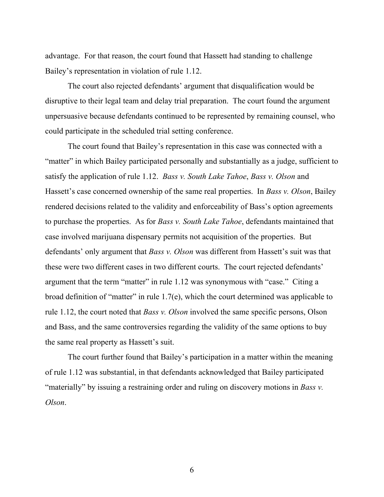advantage. For that reason, the court found that Hassett had standing to challenge Bailey's representation in violation of rule 1.12.

The court also rejected defendants' argument that disqualification would be disruptive to their legal team and delay trial preparation. The court found the argument unpersuasive because defendants continued to be represented by remaining counsel, who could participate in the scheduled trial setting conference.

The court found that Bailey's representation in this case was connected with a "matter" in which Bailey participated personally and substantially as a judge, sufficient to satisfy the application of rule 1.12. *Bass v. South Lake Tahoe*, *Bass v. Olson* and Hassett's case concerned ownership of the same real properties. In *Bass v. Olson*, Bailey rendered decisions related to the validity and enforceability of Bass's option agreements to purchase the properties. As for *Bass v. South Lake Tahoe*, defendants maintained that case involved marijuana dispensary permits not acquisition of the properties. But defendants' only argument that *Bass v. Olson* was different from Hassett's suit was that these were two different cases in two different courts. The court rejected defendants' argument that the term "matter" in rule 1.12 was synonymous with "case." Citing a broad definition of "matter" in rule  $1.7(e)$ , which the court determined was applicable to rule 1.12, the court noted that *Bass v. Olson* involved the same specific persons, Olson and Bass, and the same controversies regarding the validity of the same options to buy the same real property as Hassett's suit.

The court further found that Bailey's participation in a matter within the meaning of rule 1.12 was substantial, in that defendants acknowledged that Bailey participated "materially" by issuing a restraining order and ruling on discovery motions in *Bass v. Olson*.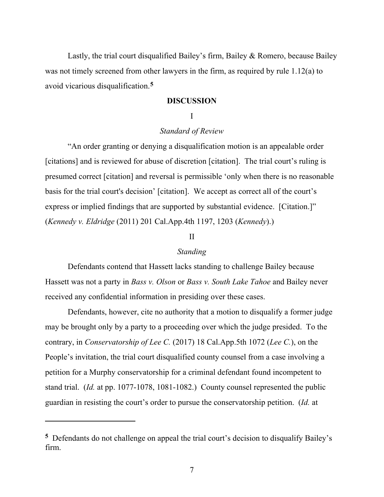Lastly, the trial court disqualified Bailey's firm, Bailey & Romero, because Bailey was not timely screened from other lawyers in the firm, as required by rule 1.12(a) to avoid vicarious disqualification.**[5](#page-6-0)**

### **DISCUSSION**

## I

## *Standard of Review*

 "An order granting or denying a disqualification motion is an appealable order [citations] and is reviewed for abuse of discretion [citation]. The trial court's ruling is presumed correct [citation] and reversal is permissible 'only when there is no reasonable basis for the trial court's decision' [citation]. We accept as correct all of the court's express or implied findings that are supported by substantial evidence. [Citation.]" (*Kennedy v. Eldridge* (2011) 201 Cal.App.4th 1197, 1203 (*Kennedy*).)

## II

#### *Standing*

 Defendants contend that Hassett lacks standing to challenge Bailey because Hassett was not a party in *Bass v. Olson* or *Bass v. South Lake Tahoe* and Bailey never received any confidential information in presiding over these cases.

 Defendants, however, cite no authority that a motion to disqualify a former judge may be brought only by a party to a proceeding over which the judge presided. To the contrary, in *Conservatorship of Lee C.* (2017) 18 Cal.App.5th 1072 (*Lee C.*), on the People's invitation, the trial court disqualified county counsel from a case involving a petition for a Murphy conservatorship for a criminal defendant found incompetent to stand trial. (*Id.* at pp. 1077-1078, 1081-1082.) County counsel represented the public guardian in resisting the court's order to pursue the conservatorship petition. (*Id.* at

<span id="page-6-0"></span>**<sup>5</sup>** Defendants do not challenge on appeal the trial court's decision to disqualify Bailey's firm.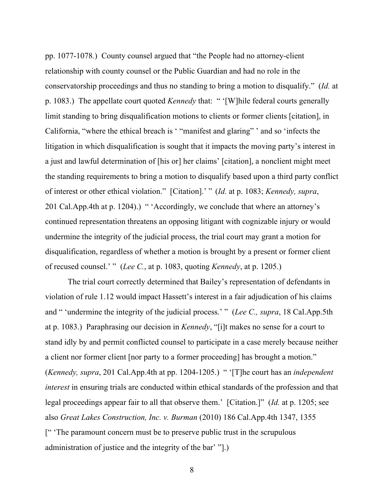pp. 1077-1078*.*) County counsel argued that "the People had no attorney-client relationship with county counsel or the Public Guardian and had no role in the conservatorship proceedings and thus no standing to bring a motion to disqualify." (*Id.* at p. 1083.) The appellate court quoted *Kennedy* that: " '[W]hile federal courts generally limit standing to bring disqualification motions to clients or former clients [citation], in California, "where the ethical breach is ' "manifest and glaring" ' and so 'infects the litigation in which disqualification is sought that it impacts the moving party's interest in a just and lawful determination of [his or] her claims' [citation], a nonclient might meet the standing requirements to bring a motion to disqualify based upon a third party conflict of interest or other ethical violation." [Citation].' " (*Id.* at p. 1083; *Kennedy, supra*, 201 Cal.App.4th at p. 1204).) " 'Accordingly, we conclude that where an attorney's continued representation threatens an opposing litigant with cognizable injury or would undermine the integrity of the judicial process, the trial court may grant a motion for disqualification, regardless of whether a motion is brought by a present or former client of recused counsel.' " (*Lee C.*, at p. 1083, quoting *Kennedy*, at p. 1205.)

 The trial court correctly determined that Bailey's representation of defendants in violation of rule 1.12 would impact Hassett's interest in a fair adjudication of his claims and " 'undermine the integrity of the judicial process.' " (*Lee C., supra*, 18 Cal.App.5th at p. 1083.) Paraphrasing our decision in *Kennedy*, "[i]t makes no sense for a court to stand idly by and permit conflicted counsel to participate in a case merely because neither a client nor former client [nor party to a former proceeding] has brought a motion." (*Kennedy, supra*, 201 Cal.App.4th at pp. 1204-1205.) " '[T]he court has an *independent interest* in ensuring trials are conducted within ethical standards of the profession and that legal proceedings appear fair to all that observe them.' [Citation.]" (*Id.* at p. 1205; see also *Great Lakes Construction, Inc. v. Burman* (2010) 186 Cal.App.4th 1347, 1355 [" 'The paramount concern must be to preserve public trust in the scrupulous administration of justice and the integrity of the bar' "].)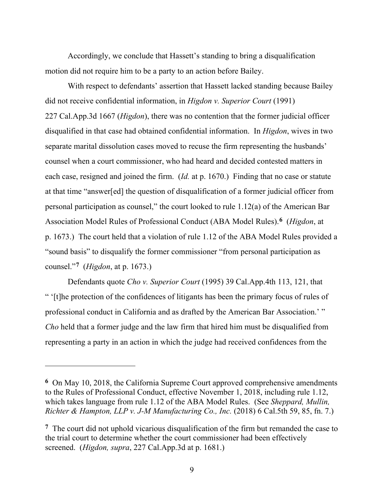Accordingly, we conclude that Hassett's standing to bring a disqualification motion did not require him to be a party to an action before Bailey.

 With respect to defendants' assertion that Hassett lacked standing because Bailey did not receive confidential information, in *Higdon v. Superior Court* (1991) 227 Cal.App.3d 1667 (*Higdon*), there was no contention that the former judicial officer disqualified in that case had obtained confidential information. In *Higdon*, wives in two separate marital dissolution cases moved to recuse the firm representing the husbands' counsel when a court commissioner, who had heard and decided contested matters in each case, resigned and joined the firm. (*Id.* at p. 1670.) Finding that no case or statute at that time "answer[ed] the question of disqualification of a former judicial officer from personal participation as counsel," the court looked to rule 1.12(a) of the American Bar Association Model Rules of Professional Conduct (ABA Model Rules).**[6](#page-8-0)** (*Higdon*, at p. 1673.) The court held that a violation of rule 1.12 of the ABA Model Rules provided a "sound basis" to disqualify the former commissioner "from personal participation as counsel."**[7](#page-8-1)** (*Higdon*, at p. 1673.)

Defendants quote *Cho v. Superior Court* (1995) 39 Cal.App.4th 113, 121, that " '[t]he protection of the confidences of litigants has been the primary focus of rules of professional conduct in California and as drafted by the American Bar Association.' " *Cho* held that a former judge and the law firm that hired him must be disqualified from representing a party in an action in which the judge had received confidences from the

<span id="page-8-0"></span>**<sup>6</sup>** On May 10, 2018, the California Supreme Court approved comprehensive amendments to the Rules of Professional Conduct, effective November 1, 2018, including rule 1.12, which takes language from rule 1.12 of the ABA Model Rules. (See *Sheppard, Mullin, Richter & Hampton, LLP v. J-M Manufacturing Co., Inc.* (2018) 6 Cal.5th 59, 85, fn. 7.)

<span id="page-8-1"></span>**<sup>7</sup>** The court did not uphold vicarious disqualification of the firm but remanded the case to the trial court to determine whether the court commissioner had been effectively screened. (*Higdon, supra*, 227 Cal.App.3d at p. 1681.)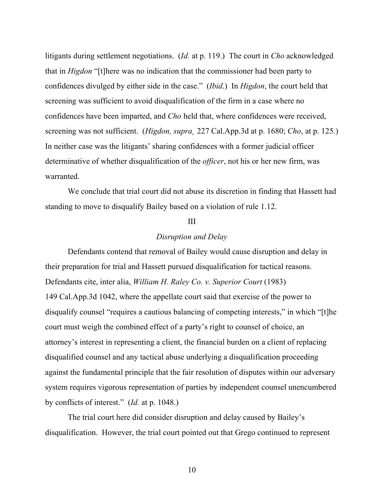litigants during settlement negotiations. (*Id.* at p. 119.) The court in *Cho* acknowledged that in *Higdon* "[t]here was no indication that the commissioner had been party to confidences divulged by either side in the case." (*Ibid*.) In *Higdon*, the court held that screening was sufficient to avoid disqualification of the firm in a case where no confidences have been imparted, and *Cho* held that, where confidences were received, screening was not sufficient. (*Higdon, supra¸* 227 Cal.App.3d at p. 1680; *Cho*, at p. 125.) In neither case was the litigants' sharing confidences with a former judicial officer determinative of whether disqualification of the *officer*, not his or her new firm, was warranted.

 We conclude that trial court did not abuse its discretion in finding that Hassett had standing to move to disqualify Bailey based on a violation of rule 1.12.

#### III

## *Disruption and Delay*

Defendants contend that removal of Bailey would cause disruption and delay in their preparation for trial and Hassett pursued disqualification for tactical reasons. Defendants cite, inter alia, *William H. Raley Co. v. Superior Court* (1983) 149 Cal.App.3d 1042, where the appellate court said that exercise of the power to disqualify counsel "requires a cautious balancing of competing interests," in which "[t]he court must weigh the combined effect of a party's right to counsel of choice, an attorney's interest in representing a client, the financial burden on a client of replacing disqualified counsel and any tactical abuse underlying a disqualification proceeding against the fundamental principle that the fair resolution of disputes within our adversary system requires vigorous representation of parties by independent counsel unencumbered by conflicts of interest." (*Id.* at p. 1048.)

 The trial court here did consider disruption and delay caused by Bailey's disqualification. However, the trial court pointed out that Grego continued to represent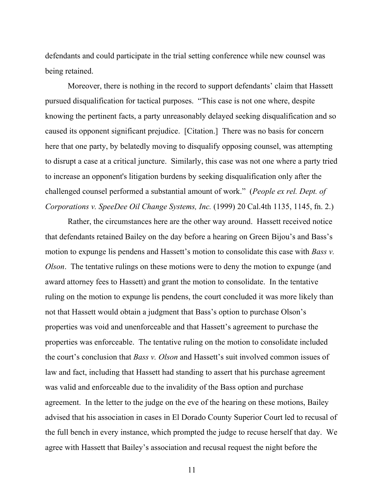defendants and could participate in the trial setting conference while new counsel was being retained.

 Moreover, there is nothing in the record to support defendants' claim that Hassett pursued disqualification for tactical purposes. "This case is not one where, despite knowing the pertinent facts, a party unreasonably delayed seeking disqualification and so caused its opponent significant prejudice. [Citation.] There was no basis for concern here that one party, by belatedly moving to disqualify opposing counsel, was attempting to disrupt a case at a critical juncture. Similarly, this case was not one where a party tried to increase an opponent's litigation burdens by seeking disqualification only after the challenged counsel performed a substantial amount of work." (*People ex rel. Dept. of Corporations v. SpeeDee Oil Change Systems, Inc.* (1999) 20 Cal.4th 1135, 1145, fn. 2.)

 Rather, the circumstances here are the other way around. Hassett received notice that defendants retained Bailey on the day before a hearing on Green Bijou's and Bass's motion to expunge lis pendens and Hassett's motion to consolidate this case with *Bass v. Olson*. The tentative rulings on these motions were to deny the motion to expunge (and award attorney fees to Hassett) and grant the motion to consolidate. In the tentative ruling on the motion to expunge lis pendens, the court concluded it was more likely than not that Hassett would obtain a judgment that Bass's option to purchase Olson's properties was void and unenforceable and that Hassett's agreement to purchase the properties was enforceable. The tentative ruling on the motion to consolidate included the court's conclusion that *Bass v. Olson* and Hassett's suit involved common issues of law and fact, including that Hassett had standing to assert that his purchase agreement was valid and enforceable due to the invalidity of the Bass option and purchase agreement. In the letter to the judge on the eve of the hearing on these motions, Bailey advised that his association in cases in El Dorado County Superior Court led to recusal of the full bench in every instance, which prompted the judge to recuse herself that day. We agree with Hassett that Bailey's association and recusal request the night before the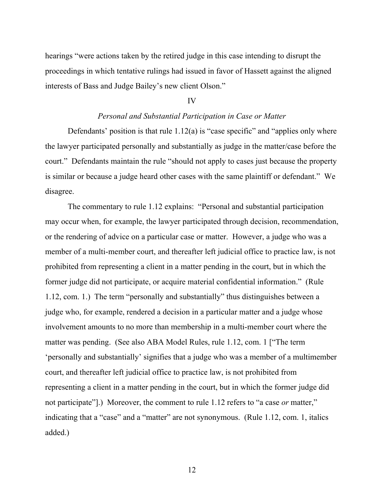hearings "were actions taken by the retired judge in this case intending to disrupt the proceedings in which tentative rulings had issued in favor of Hassett against the aligned interests of Bass and Judge Bailey's new client Olson."

#### IV

## *Personal and Substantial Participation in Case or Matter*

Defendants' position is that rule  $1.12(a)$  is "case specific" and "applies only where the lawyer participated personally and substantially as judge in the matter/case before the court." Defendants maintain the rule "should not apply to cases just because the property is similar or because a judge heard other cases with the same plaintiff or defendant." We disagree.

 The commentary to rule 1.12 explains: "Personal and substantial participation may occur when, for example, the lawyer participated through decision, recommendation, or the rendering of advice on a particular case or matter. However, a judge who was a member of a multi-member court, and thereafter left judicial office to practice law, is not prohibited from representing a client in a matter pending in the court, but in which the former judge did not participate, or acquire material confidential information." (Rule 1.12, com. 1.) The term "personally and substantially" thus distinguishes between a judge who, for example, rendered a decision in a particular matter and a judge whose involvement amounts to no more than membership in a multi-member court where the matter was pending. (See also ABA Model Rules, rule 1.12, com. 1 ["The term 'personally and substantially' signifies that a judge who was a member of a multimember court, and thereafter left judicial office to practice law, is not prohibited from representing a client in a matter pending in the court, but in which the former judge did not participate"].) Moreover, the comment to rule 1.12 refers to "a case *or* matter," indicating that a "case" and a "matter" are not synonymous. (Rule 1.12, com. 1, italics added.)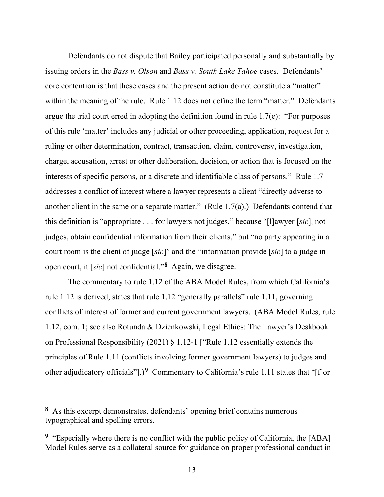Defendants do not dispute that Bailey participated personally and substantially by issuing orders in the *Bass v. Olson* and *Bass v. South Lake Tahoe* cases. Defendants' core contention is that these cases and the present action do not constitute a "matter" within the meaning of the rule. Rule 1.12 does not define the term "matter." Defendants argue the trial court erred in adopting the definition found in rule 1.7(e): "For purposes of this rule 'matter' includes any judicial or other proceeding, application, request for a ruling or other determination, contract, transaction, claim, controversy, investigation, charge, accusation, arrest or other deliberation, decision, or action that is focused on the interests of specific persons, or a discrete and identifiable class of persons." Rule 1.7 addresses a conflict of interest where a lawyer represents a client "directly adverse to another client in the same or a separate matter." (Rule 1.7(a).) Defendants contend that this definition is "appropriate . . . for lawyers not judges," because "[l]awyer [*sic*], not judges, obtain confidential information from their clients," but "no party appearing in a court room is the client of judge [*sic*]" and the "information provide [*sic*] to a judge in open court, it [*sic*] not confidential."**[8](#page-12-0)** Again, we disagree.

The commentary to rule 1.12 of the ABA Model Rules, from which California's rule 1.12 is derived, states that rule 1.12 "generally parallels" rule 1.11, governing conflicts of interest of former and current government lawyers. (ABA Model Rules, rule 1.12, com. 1; see also Rotunda & Dzienkowski, Legal Ethics: The Lawyer's Deskbook on Professional Responsibility (2021) § 1.12-1 ["Rule 1.12 essentially extends the principles of Rule 1.11 (conflicts involving former government lawyers) to judges and other adjudicatory officials"].)**[9](#page-12-1)** Commentary to California's rule 1.11 states that "[f]or

<span id="page-12-0"></span>**<sup>8</sup>** As this excerpt demonstrates, defendants' opening brief contains numerous typographical and spelling errors.

<span id="page-12-1"></span>**<sup>9</sup>** "Especially where there is no conflict with the public policy of California, the [ABA] Model Rules serve as a collateral source for guidance on proper professional conduct in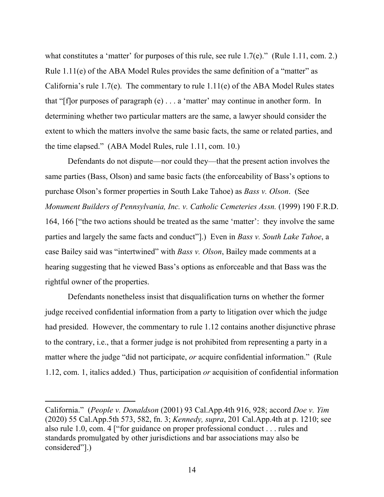what constitutes a 'matter' for purposes of this rule, see rule 1.7(e)." (Rule 1.11, com. 2.) Rule 1.11(e) of the ABA Model Rules provides the same definition of a "matter" as California's rule 1.7(e). The commentary to rule 1.11(e) of the ABA Model Rules states that " $[$ f $]$ or purposes of paragraph  $(e)$ ... a 'matter' may continue in another form. In determining whether two particular matters are the same, a lawyer should consider the extent to which the matters involve the same basic facts, the same or related parties, and the time elapsed." (ABA Model Rules, rule 1.11, com. 10.)

 Defendants do not dispute—nor could they—that the present action involves the same parties (Bass, Olson) and same basic facts (the enforceability of Bass's options to purchase Olson's former properties in South Lake Tahoe) as *Bass v. Olson*. (See *Monument Builders of Pennsylvania, Inc. v. Catholic Cemeteries Assn.* (1999) 190 F.R.D. 164, 166 ["the two actions should be treated as the same 'matter': they involve the same parties and largely the same facts and conduct"].) Even in *Bass v. South Lake Tahoe*, a case Bailey said was "intertwined" with *Bass v. Olson*, Bailey made comments at a hearing suggesting that he viewed Bass's options as enforceable and that Bass was the rightful owner of the properties.

 Defendants nonetheless insist that disqualification turns on whether the former judge received confidential information from a party to litigation over which the judge had presided. However, the commentary to rule 1.12 contains another disjunctive phrase to the contrary, i.e., that a former judge is not prohibited from representing a party in a matter where the judge "did not participate, *or* acquire confidential information." (Rule 1.12, com. 1, italics added.) Thus, participation *or* acquisition of confidential information

California." (*People v. Donaldson* (2001) 93 Cal.App.4th 916, 928; accord *Doe v. Yim*  (2020) 55 Cal.App.5th 573, 582, fn. 3; *Kennedy, supra*, 201 Cal.App.4th at p. 1210; see also rule 1.0, com. 4 ["for guidance on proper professional conduct . . . rules and standards promulgated by other jurisdictions and bar associations may also be considered"].)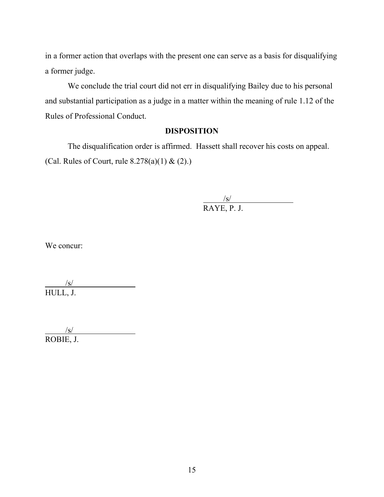in a former action that overlaps with the present one can serve as a basis for disqualifying a former judge.

We conclude the trial court did not err in disqualifying Bailey due to his personal and substantial participation as a judge in a matter within the meaning of rule 1.12 of the Rules of Professional Conduct.

## **DISPOSITION**

The disqualification order is affirmed. Hassett shall recover his costs on appeal. (Cal. Rules of Court, rule  $8.278(a)(1) & (2)$ .)

> $\frac{|s|}{|s|}$ RAYE, P. J.

We concur:

 $/$ s/ HULL, J.

 $/s/$ ROBIE, J.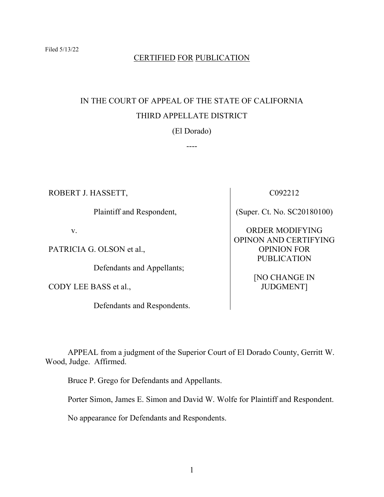# CERTIFIED FOR PUBLICATION

# IN THE COURT OF APPEAL OF THE STATE OF CALIFORNIA THIRD APPELLATE DISTRICT

(El Dorado)

----

ROBERT J. HASSETT,

Plaintiff and Respondent,

v.

PATRICIA G. OLSON et al.,

Defendants and Appellants;

CODY LEE BASS et al.,

Defendants and Respondents.

C092212

(Super. Ct. No. SC20180100)

ORDER MODIFYING OPINON AND CERTIFYING OPINION FOR PUBLICATION

> [NO CHANGE IN JUDGMENT]

 APPEAL from a judgment of the Superior Court of El Dorado County, Gerritt W. Wood, Judge. Affirmed.

Bruce P. Grego for Defendants and Appellants.

Porter Simon, James E. Simon and David W. Wolfe for Plaintiff and Respondent.

No appearance for Defendants and Respondents.